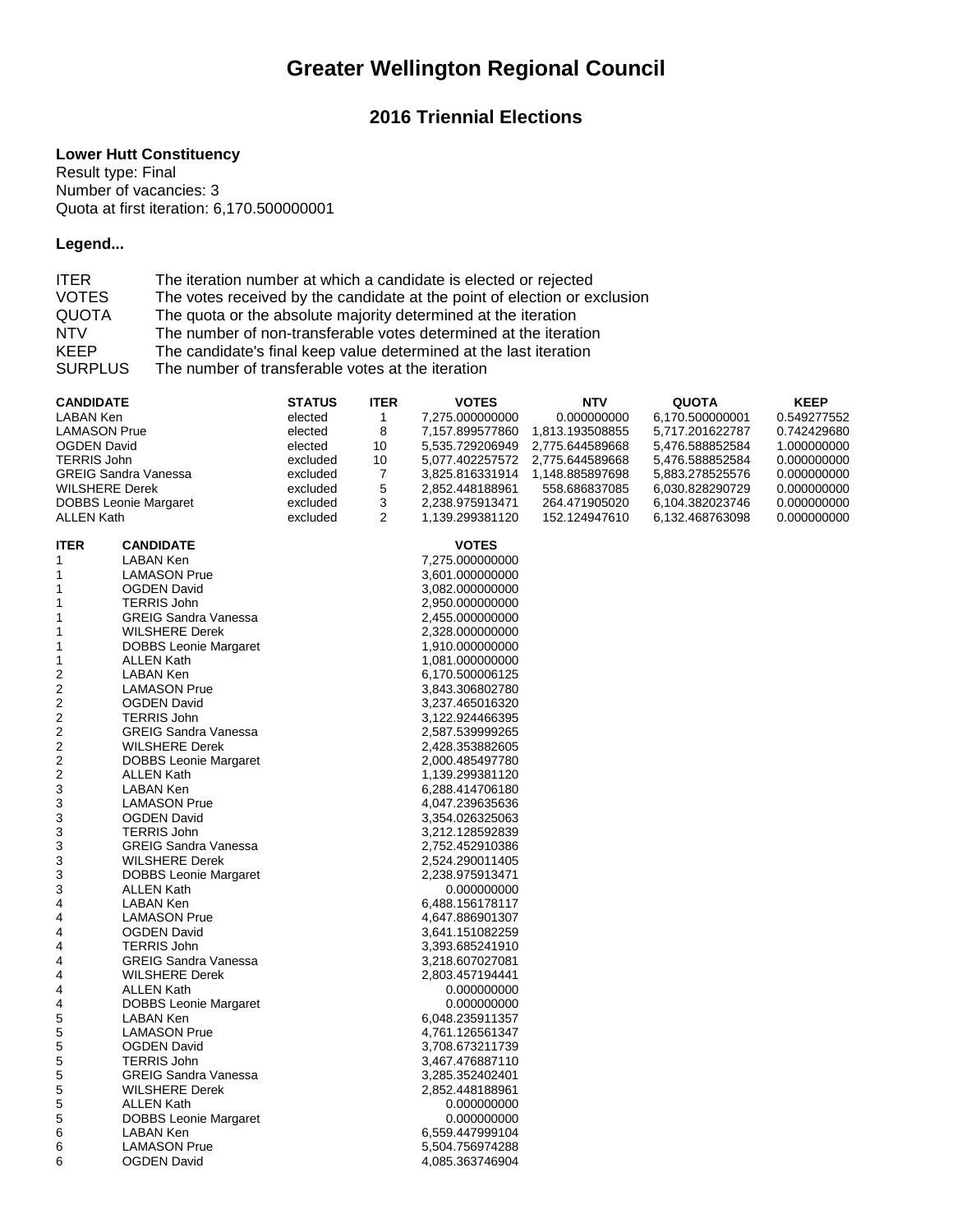# **Greater Wellington Regional Council**

## **2016 Triennial Elections**

#### **Lower Hutt Constituency**

Result type: Final Number of vacancies: 3 Quota at first iteration: 6,170.500000001

### **Legend...**

| <b>ITER</b>    | The iteration number at which a candidate is elected or rejected          |
|----------------|---------------------------------------------------------------------------|
| <b>VOTES</b>   | The votes received by the candidate at the point of election or exclusion |
| <b>QUOTA</b>   | The quota or the absolute majority determined at the iteration            |
| <b>NTV</b>     | The number of non-transferable votes determined at the iteration          |
| <b>KEEP</b>    | The candidate's final keep value determined at the last iteration         |
| <b>SURPLUS</b> | The number of transferable votes at the iteration                         |

| <b>CANDIDATE</b>        |                              | <b>STATUS</b> | <b>ITER</b>  | <b>VOTES</b>    | <b>NTV</b>      | <b>QUOTA</b>    | <b>KEEP</b> |
|-------------------------|------------------------------|---------------|--------------|-----------------|-----------------|-----------------|-------------|
| LABAN Ken               |                              | elected       | $\mathbf{1}$ | 7,275.000000000 | 0.000000000     | 6,170.500000001 | 0.549277552 |
| <b>LAMASON Prue</b>     |                              | elected       | 8            | 7,157.899577860 | 1,813.193508855 | 5,717.201622787 | 0.742429680 |
| <b>OGDEN David</b>      |                              | elected       | 10           | 5,535.729206949 | 2,775.644589668 | 5,476.588852584 | 1.000000000 |
| <b>TERRIS John</b>      |                              | excluded      | 10           | 5,077.402257572 | 2,775.644589668 | 5,476.588852584 | 0.000000000 |
|                         | <b>GREIG Sandra Vanessa</b>  | excluded      | 7            | 3,825.816331914 | 1,148.885897698 | 5,883.278525576 | 0.000000000 |
| <b>WILSHERE Derek</b>   |                              | excluded      | 5            | 2,852.448188961 | 558.686837085   | 6,030.828290729 | 0.000000000 |
|                         | <b>DOBBS</b> Leonie Margaret | excluded      | 3            | 2,238.975913471 | 264.471905020   | 6,104.382023746 | 0.000000000 |
| <b>ALLEN Kath</b>       |                              | excluded      | 2            | 1,139.299381120 | 152.124947610   | 6,132.468763098 | 0.000000000 |
|                         |                              |               |              |                 |                 |                 |             |
| <b>ITER</b>             | <b>CANDIDATE</b>             |               |              | <b>VOTES</b>    |                 |                 |             |
| 1                       | LABAN Ken                    |               |              | 7,275.000000000 |                 |                 |             |
| 1                       | <b>LAMASON Prue</b>          |               |              | 3,601.000000000 |                 |                 |             |
| 1                       | OGDEN David                  |               |              | 3,082.000000000 |                 |                 |             |
| 1                       | <b>TERRIS John</b>           |               |              | 2,950.000000000 |                 |                 |             |
| 1                       | <b>GREIG Sandra Vanessa</b>  |               |              | 2,455.000000000 |                 |                 |             |
| 1                       | <b>WILSHERE Derek</b>        |               |              | 2,328.000000000 |                 |                 |             |
| 1                       | <b>DOBBS Leonie Margaret</b> |               |              | 1,910.000000000 |                 |                 |             |
| 1                       | <b>ALLEN Kath</b>            |               |              | 1,081.000000000 |                 |                 |             |
| $\overline{c}$          | <b>LABAN Ken</b>             |               |              | 6,170.500006125 |                 |                 |             |
| $\overline{\mathbf{c}}$ | <b>LAMASON Prue</b>          |               |              | 3,843.306802780 |                 |                 |             |
| 2                       | <b>OGDEN David</b>           |               |              | 3,237.465016320 |                 |                 |             |
| $\boldsymbol{2}$        | <b>TERRIS John</b>           |               |              | 3,122.924466395 |                 |                 |             |
| 2                       | <b>GREIG Sandra Vanessa</b>  |               |              | 2,587.539999265 |                 |                 |             |
| $\overline{\mathbf{c}}$ | <b>WILSHERE Derek</b>        |               |              | 2,428.353882605 |                 |                 |             |
| 2                       | <b>DOBBS Leonie Margaret</b> |               |              | 2,000.485497780 |                 |                 |             |
| 2                       | <b>ALLEN Kath</b>            |               |              | 1,139.299381120 |                 |                 |             |
| 3                       | LABAN Ken                    |               |              | 6,288.414706180 |                 |                 |             |
| 3                       | <b>LAMASON Prue</b>          |               |              | 4,047.239635636 |                 |                 |             |
| 3                       | <b>OGDEN David</b>           |               |              | 3,354.026325063 |                 |                 |             |
| 3                       | <b>TERRIS John</b>           |               |              | 3,212.128592839 |                 |                 |             |
| 3                       | <b>GREIG Sandra Vanessa</b>  |               |              | 2,752.452910386 |                 |                 |             |
| 3                       | <b>WILSHERE Derek</b>        |               |              | 2,524.290011405 |                 |                 |             |
| 3                       | DOBBS Leonie Margaret        |               |              | 2,238.975913471 |                 |                 |             |
| 3                       | <b>ALLEN Kath</b>            |               |              | 0.000000000     |                 |                 |             |
| 4                       | <b>LABAN Ken</b>             |               |              | 6,488.156178117 |                 |                 |             |
| 4                       | <b>LAMASON Prue</b>          |               |              | 4,647.886901307 |                 |                 |             |
| 4                       | <b>OGDEN David</b>           |               |              | 3,641.151082259 |                 |                 |             |
| 4                       | <b>TERRIS John</b>           |               |              | 3,393.685241910 |                 |                 |             |
| 4                       | <b>GREIG Sandra Vanessa</b>  |               |              | 3,218.607027081 |                 |                 |             |
| 4                       | <b>WILSHERE Derek</b>        |               |              | 2,803.457194441 |                 |                 |             |
| 4                       | <b>ALLEN Kath</b>            |               |              | 0.000000000     |                 |                 |             |
| 4                       | <b>DOBBS Leonie Margaret</b> |               |              | 0.000000000     |                 |                 |             |
| 5                       | LABAN Ken                    |               |              | 6,048.235911357 |                 |                 |             |
| 5                       | <b>LAMASON Prue</b>          |               |              | 4,761.126561347 |                 |                 |             |
| 5                       | <b>OGDEN David</b>           |               |              | 3,708.673211739 |                 |                 |             |
| 5                       | <b>TERRIS John</b>           |               |              | 3,467.476887110 |                 |                 |             |
| 5                       | <b>GREIG Sandra Vanessa</b>  |               |              | 3,285.352402401 |                 |                 |             |
| 5                       | <b>WILSHERE Derek</b>        |               |              | 2,852.448188961 |                 |                 |             |
| 5                       | <b>ALLEN Kath</b>            |               |              | 0.000000000     |                 |                 |             |
| 5                       | <b>DOBBS Leonie Margaret</b> |               |              | 0.000000000     |                 |                 |             |
| 6                       | LABAN Ken                    |               |              | 6,559.447999104 |                 |                 |             |
| 6                       | <b>LAMASON Prue</b>          |               |              | 5,504.756974288 |                 |                 |             |
| 6                       | <b>OGDEN David</b>           |               |              | 4,085.363746904 |                 |                 |             |
|                         |                              |               |              |                 |                 |                 |             |